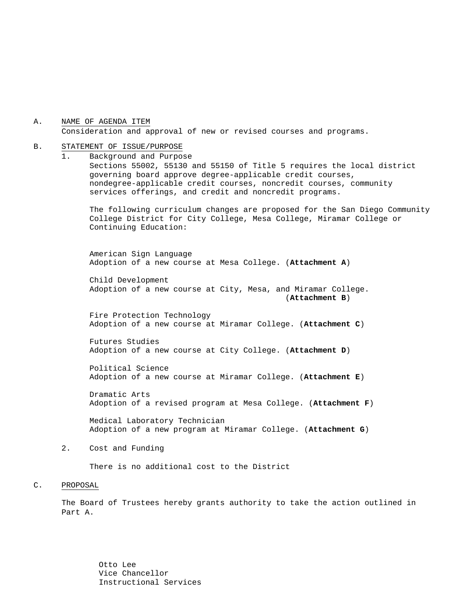A. NAME OF AGENDA ITEM Consideration and approval of new or revised courses and programs.

#### B. STATEMENT OF ISSUE/PURPOSE

1. Background and Purpose Sections 55002, 55130 and 55150 of Title 5 requires the local district governing board approve degree-applicable credit courses, nondegree-applicable credit courses, noncredit courses, community services offerings, and credit and noncredit programs.

The following curriculum changes are proposed for the San Diego Community College District for City College, Mesa College, Miramar College or Continuing Education:

 American Sign Language Adoption of a new course at Mesa College. (**Attachment A**)

Child Development Adoption of a new course at City, Mesa, and Miramar College. (**Attachment B**)

Fire Protection Technology Adoption of a new course at Miramar College. (**Attachment C**)

Futures Studies Adoption of a new course at City College. (**Attachment D**)

Political Science Adoption of a new course at Miramar College. (**Attachment E**)

Dramatic Arts Adoption of a revised program at Mesa College. (**Attachment F**)

Medical Laboratory Technician Adoption of a new program at Miramar College. (**Attachment G**)

#### 2. Cost and Funding

There is no additional cost to the District

#### C. PROPOSAL

The Board of Trustees hereby grants authority to take the action outlined in Part A.

> Otto Lee Vice Chancellor Instructional Services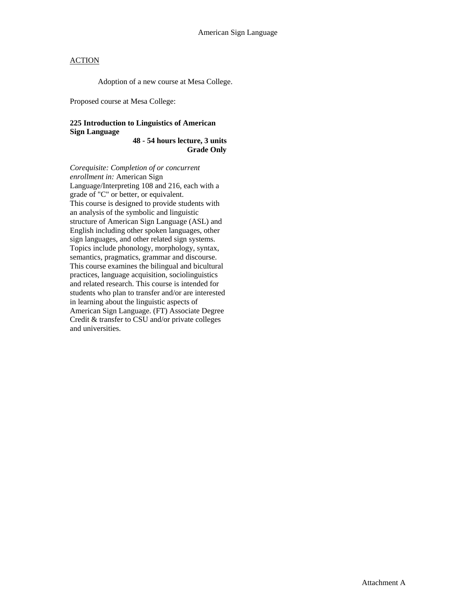Adoption of a new course at Mesa College.

Proposed course at Mesa College:

### **225 Introduction to Linguistics of American Sign Language**

**48 - 54 hours lecture, 3 units Grade Only** 

*Corequisite: Completion of or concurrent enrollment in:* American Sign Language/Interpreting 108 and 216, each with a grade of "C" or better, or equivalent. This course is designed to provide students with an analysis of the symbolic and linguistic structure of American Sign Language (ASL) and English including other spoken languages, other sign languages, and other related sign systems. Topics include phonology, morphology, syntax, semantics, pragmatics, grammar and discourse. This course examines the bilingual and bicultural practices, language acquisition, sociolinguistics and related research. This course is intended for students who plan to transfer and/or are interested in learning about the linguistic aspects of American Sign Language. (FT) Associate Degree Credit & transfer to CSU and/or private colleges and universities.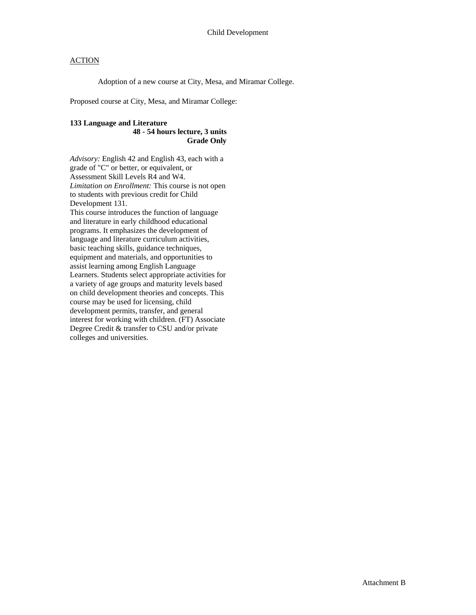Adoption of a new course at City, Mesa, and Miramar College.

Proposed course at City, Mesa, and Miramar College:

#### **133 Language and Literature 48 - 54 hours lecture, 3 units**

# **Grade Only**

*Advisory:* English 42 and English 43, each with a grade of "C" or better, or equivalent, or Assessment Skill Levels R4 and W4. *Limitation on Enrollment:* This course is not open to students with previous credit for Child Development 131. This course introduces the function of language and literature in early childhood educational programs. It emphasizes the development of language and literature curriculum activities, basic teaching skills, guidance techniques, equipment and materials, and opportunities to assist learning among English Language Learners. Students select appropriate activities for a variety of age groups and maturity levels based on child development theories and concepts. This course may be used for licensing, child development permits, transfer, and general interest for working with children. (FT) Associate Degree Credit & transfer to CSU and/or private colleges and universities.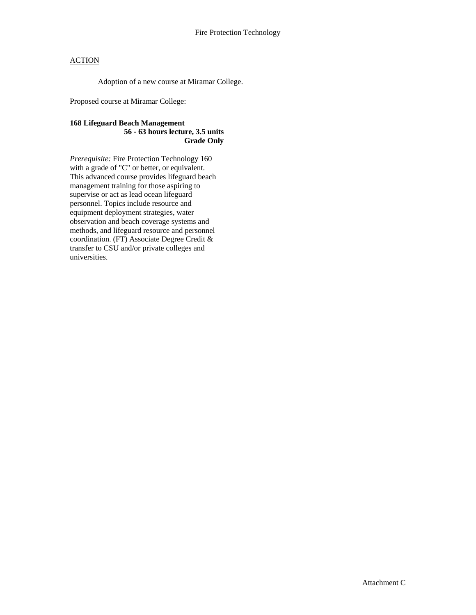Adoption of a new course at Miramar College.

Proposed course at Miramar College:

#### **168 Lifeguard Beach Management 56 - 63 hours lecture, 3.5 units Grade Only**

*Prerequisite:* Fire Protection Technology 160 with a grade of "C" or better, or equivalent. This advanced course provides lifeguard beach management training for those aspiring to supervise or act as lead ocean lifeguard personnel. Topics include resource and equipment deployment strategies, water observation and beach coverage systems and methods, and lifeguard resource and personnel coordination. (FT) Associate Degree Credit & transfer to CSU and/or private colleges and universities.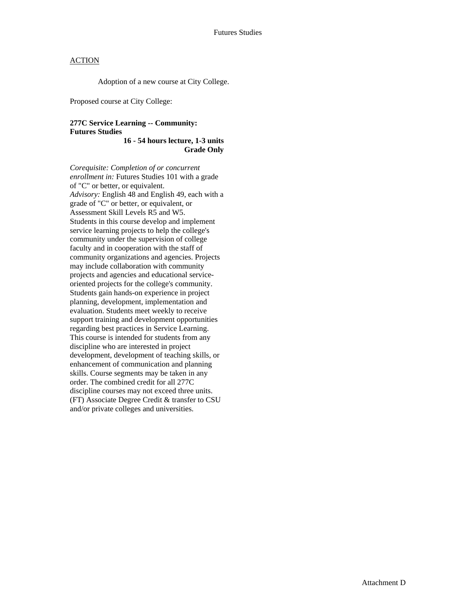Adoption of a new course at City College.

Proposed course at City College:

#### **277C Service Learning -- Community: Futures Studies**

**16 - 54 hours lecture, 1-3 units Grade Only** 

*Corequisite: Completion of or concurrent enrollment in:* Futures Studies 101 with a grade of "C" or better, or equivalent. *Advisory:* English 48 and English 49, each with a grade of "C" or better, or equivalent, or Assessment Skill Levels R5 and W5. Students in this course develop and implement service learning projects to help the college's community under the supervision of college faculty and in cooperation with the staff of community organizations and agencies. Projects may include collaboration with community projects and agencies and educational serviceoriented projects for the college's community. Students gain hands-on experience in project planning, development, implementation and evaluation. Students meet weekly to receive support training and development opportunities regarding best practices in Service Learning. This course is intended for students from any discipline who are interested in project development, development of teaching skills, or enhancement of communication and planning skills. Course segments may be taken in any order. The combined credit for all 277C discipline courses may not exceed three units. (FT) Associate Degree Credit & transfer to CSU and/or private colleges and universities.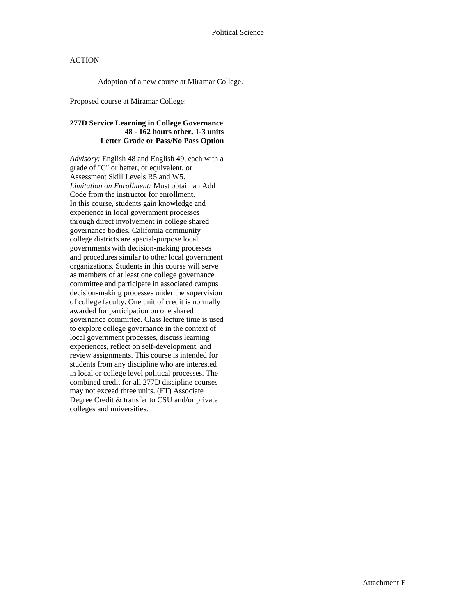Adoption of a new course at Miramar College.

Proposed course at Miramar College:

#### **277D Service Learning in College Governance 48 - 162 hours other, 1-3 units Letter Grade or Pass/No Pass Option**

*Advisory:* English 48 and English 49, each with a grade of "C" or better, or equivalent, or Assessment Skill Levels R5 and W5. *Limitation on Enrollment:* Must obtain an Add Code from the instructor for enrollment. In this course, students gain knowledge and experience in local government processes through direct involvement in college shared governance bodies. California community college districts are special-purpose local governments with decision-making processes and procedures similar to other local government organizations. Students in this course will serve as members of at least one college governance committee and participate in associated campus decision-making processes under the supervision of college faculty. One unit of credit is normally awarded for participation on one shared governance committee. Class lecture time is used to explore college governance in the context of local government processes, discuss learning experiences, reflect on self-development, and review assignments. This course is intended for students from any discipline who are interested in local or college level political processes. The combined credit for all 277D discipline courses may not exceed three units. (FT) Associate Degree Credit & transfer to CSU and/or private colleges and universities.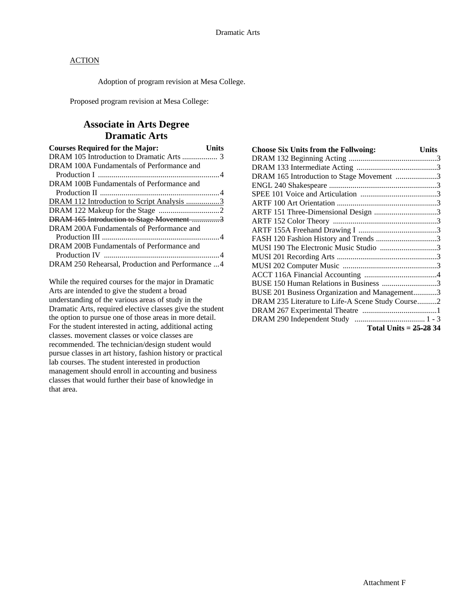Adoption of program revision at Mesa College.

Proposed program revision at Mesa College:

# **Associate in Arts Degree Dramatic Arts**

| <b>Courses Required for the Major:</b>            | Units |
|---------------------------------------------------|-------|
|                                                   |       |
| DRAM 100A Fundamentals of Performance and         |       |
|                                                   |       |
| DRAM 100B Fundamentals of Performance and         |       |
|                                                   |       |
| DRAM 112 Introduction to Script Analysis 3        |       |
|                                                   |       |
| DRAM 165 Introduction to Stage Movement 3         |       |
| DRAM 200A Fundamentals of Performance and         |       |
|                                                   |       |
| DRAM 200B Fundamentals of Performance and         |       |
|                                                   |       |
| DRAM 250 Rehearsal, Production and Performance  4 |       |

While the required courses for the major in Dramatic Arts are intended to give the student a broad understanding of the various areas of study in the Dramatic Arts, required elective classes give the student the option to pursue one of those areas in more detail. For the student interested in acting, additional acting classes. movement classes or voice classes are recommended. The technician/design student would pursue classes in art history, fashion history or practical lab courses. The student interested in production management should enroll in accounting and business classes that would further their base of knowledge in that area.

| <b>Choose Six Units from the Follwoing:</b>       | <b>Units</b> |
|---------------------------------------------------|--------------|
|                                                   |              |
|                                                   |              |
| DRAM 165 Introduction to Stage Movement 3         |              |
|                                                   |              |
|                                                   |              |
|                                                   |              |
| ARTF 151 Three-Dimensional Design 3               |              |
|                                                   |              |
|                                                   |              |
| FASH 120 Fashion History and Trends 3             |              |
| MUSI 190 The Electronic Music Studio 3            |              |
|                                                   |              |
|                                                   |              |
|                                                   |              |
| BUSE 150 Human Relations in Business 3            |              |
| BUSE 201 Business Organization and Management3    |              |
| DRAM 235 Literature to Life-A Scene Study Course2 |              |
|                                                   |              |
|                                                   |              |
| Total Units = $25-2834$                           |              |